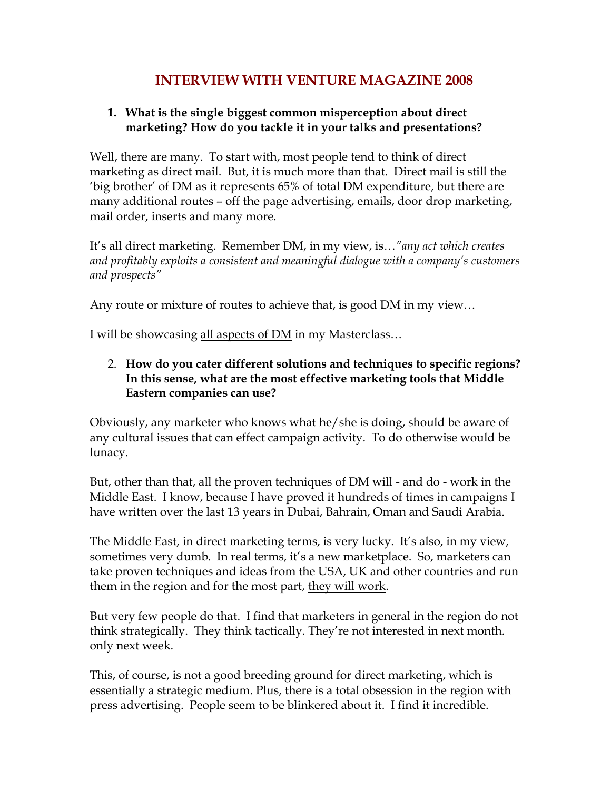# **INTERVIEW WITH VENTURE MAGAZINE 2008**

## **1. What is the single biggest common misperception about direct marketing? How do you tackle it in your talks and presentations?**

Well, there are many. To start with, most people tend to think of direct marketing as direct mail. But, it is much more than that. Direct mail is still the 'big brother' of DM as it represents 65% of total DM expenditure, but there are many additional routes – off the page advertising, emails, door drop marketing, mail order, inserts and many more.

It's all direct marketing. Remember DM, in my view, is*…"any act which creates and profitably exploits a consistent and meaningful dialogue with a company's customers and prospects"*

Any route or mixture of routes to achieve that, is good DM in my view…

I will be showcasing all aspects of DM in my Masterclass…

2. **How do you cater different solutions and techniques to specific regions? In this sense, what are the most effective marketing tools that Middle Eastern companies can use?**

Obviously, any marketer who knows what he/she is doing, should be aware of any cultural issues that can effect campaign activity. To do otherwise would be lunacy.

But, other than that, all the proven techniques of DM will - and do - work in the Middle East. I know, because I have proved it hundreds of times in campaigns I have written over the last 13 years in Dubai, Bahrain, Oman and Saudi Arabia.

The Middle East, in direct marketing terms, is very lucky. It's also, in my view, sometimes very dumb. In real terms, it's a new marketplace. So, marketers can take proven techniques and ideas from the USA, UK and other countries and run them in the region and for the most part, they will work.

But very few people do that. I find that marketers in general in the region do not think strategically. They think tactically. They're not interested in next month. only next week.

This, of course, is not a good breeding ground for direct marketing, which is essentially a strategic medium. Plus, there is a total obsession in the region with press advertising. People seem to be blinkered about it. I find it incredible.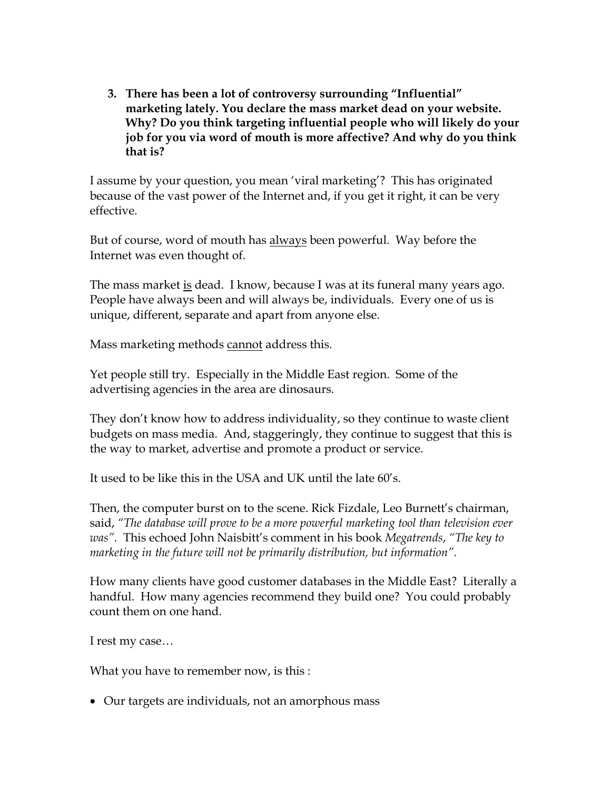**3. There has been a lot of controversy surrounding "Influential" marketing lately. You declare the mass market dead on your website. Why? Do you think targeting influential people who will likely do your job for you via word of mouth is more affective? And why do you think that is?** 

I assume by your question, you mean 'viral marketing'? This has originated because of the vast power of the Internet and, if you get it right, it can be very effective.

But of course, word of mouth has always been powerful. Way before the Internet was even thought of.

The mass market is dead. I know, because I was at its funeral many years ago. People have always been and will always be, individuals. Every one of us is unique, different, separate and apart from anyone else.

Mass marketing methods cannot address this.

Yet people still try. Especially in the Middle East region. Some of the advertising agencies in the area are dinosaurs.

They don't know how to address individuality, so they continue to waste client budgets on mass media. And, staggeringly, they continue to suggest that this is the way to market, advertise and promote a product or service.

It used to be like this in the USA and UK until the late 60's.

Then, the computer burst on to the scene. Rick Fizdale, Leo Burnett's chairman, said, *"The database will prove to be a more powerful marketing tool than television ever was".* This echoed John Naisbitt's comment in his book *Megatrends*, *"The key to marketing in the future will not be primarily distribution, but information".*

How many clients have good customer databases in the Middle East? Literally a handful. How many agencies recommend they build one? You could probably count them on one hand.

I rest my case…

What you have to remember now, is this :

Our targets are individuals, not an amorphous mass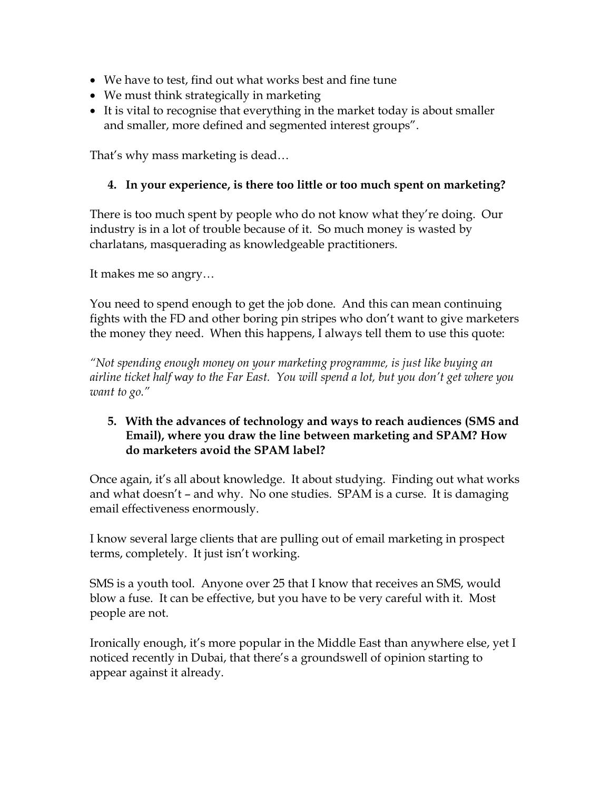- We have to test, find out what works best and fine tune
- We must think strategically in marketing
- It is vital to recognise that everything in the market today is about smaller and smaller, more defined and segmented interest groups".

That's why mass marketing is dead…

## **4. In your experience, is there too little or too much spent on marketing?**

There is too much spent by people who do not know what they're doing. Our industry is in a lot of trouble because of it. So much money is wasted by charlatans, masquerading as knowledgeable practitioners.

It makes me so angry…

You need to spend enough to get the job done. And this can mean continuing fights with the FD and other boring pin stripes who don't want to give marketers the money they need. When this happens, I always tell them to use this quote:

*"Not spending enough money on your marketing programme, is just like buying an airline ticket half way to the Far East. You will spend a lot, but you don't get where you want to go."*

#### **5. With the advances of technology and ways to reach audiences (SMS and Email), where you draw the line between marketing and SPAM? How do marketers avoid the SPAM label?**

Once again, it's all about knowledge. It about studying. Finding out what works and what doesn't – and why. No one studies. SPAM is a curse. It is damaging email effectiveness enormously.

I know several large clients that are pulling out of email marketing in prospect terms, completely. It just isn't working.

SMS is a youth tool. Anyone over 25 that I know that receives an SMS, would blow a fuse. It can be effective, but you have to be very careful with it. Most people are not.

Ironically enough, it's more popular in the Middle East than anywhere else, yet I noticed recently in Dubai, that there's a groundswell of opinion starting to appear against it already.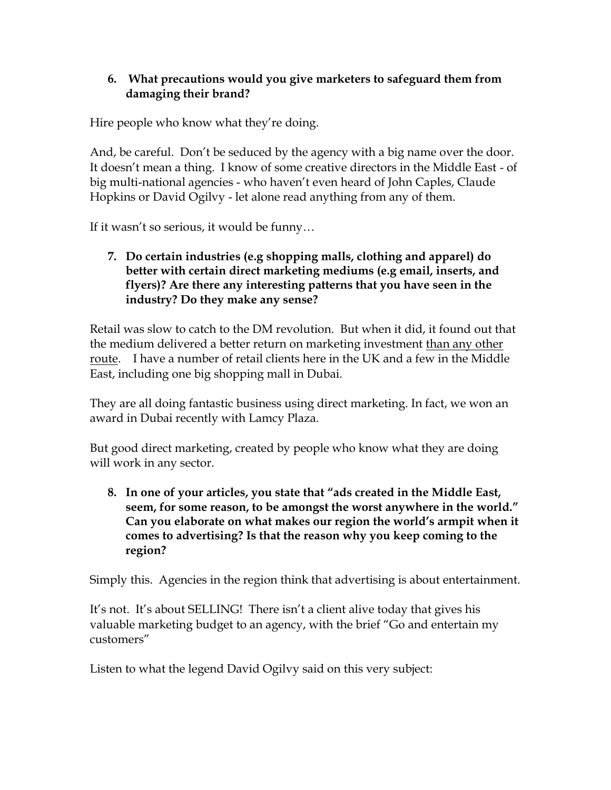## **6. What precautions would you give marketers to safeguard them from damaging their brand?**

Hire people who know what they're doing.

And, be careful. Don't be seduced by the agency with a big name over the door. It doesn't mean a thing. I know of some creative directors in the Middle East - of big multi-national agencies - who haven't even heard of John Caples, Claude Hopkins or David Ogilvy - let alone read anything from any of them.

If it wasn't so serious, it would be funny…

## **7. Do certain industries (e.g shopping malls, clothing and apparel) do better with certain direct marketing mediums (e.g email, inserts, and flyers)? Are there any interesting patterns that you have seen in the industry? Do they make any sense?**

Retail was slow to catch to the DM revolution. But when it did, it found out that the medium delivered a better return on marketing investment than any other route. I have a number of retail clients here in the UK and a few in the Middle East, including one big shopping mall in Dubai.

They are all doing fantastic business using direct marketing. In fact, we won an award in Dubai recently with Lamcy Plaza.

But good direct marketing, created by people who know what they are doing will work in any sector.

**8. In one of your articles, you state that "ads created in the Middle East, seem, for some reason, to be amongst the worst anywhere in the world." Can you elaborate on what makes our region the world's armpit when it comes to advertising? Is that the reason why you keep coming to the region?** 

Simply this. Agencies in the region think that advertising is about entertainment.

It's not. It's about SELLING! There isn't a client alive today that gives his valuable marketing budget to an agency, with the brief "Go and entertain my customers"

Listen to what the legend David Ogilvy said on this very subject: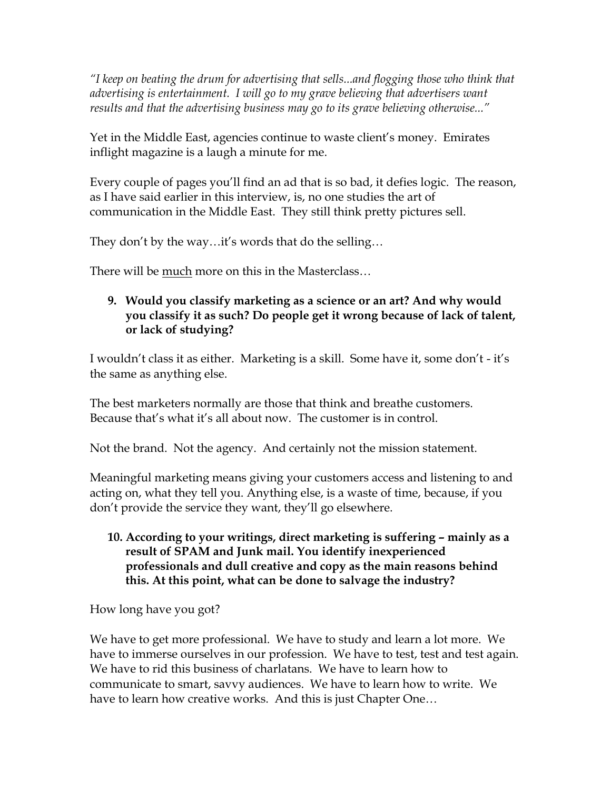*"I keep on beating the drum for advertising that sells...and flogging those who think that advertising is entertainment. I will go to my grave believing that advertisers want results and that the advertising business may go to its grave believing otherwise..."*

Yet in the Middle East, agencies continue to waste client's money. Emirates inflight magazine is a laugh a minute for me.

Every couple of pages you'll find an ad that is so bad, it defies logic. The reason, as I have said earlier in this interview, is, no one studies the art of communication in the Middle East. They still think pretty pictures sell.

They don't by the way…it's words that do the selling…

There will be much more on this in the Masterclass…

## **9. Would you classify marketing as a science or an art? And why would you classify it as such? Do people get it wrong because of lack of talent, or lack of studying?**

I wouldn't class it as either. Marketing is a skill. Some have it, some don't - it's the same as anything else.

The best marketers normally are those that think and breathe customers. Because that's what it's all about now. The customer is in control.

Not the brand. Not the agency. And certainly not the mission statement.

Meaningful marketing means giving your customers access and listening to and acting on, what they tell you. Anything else, is a waste of time, because, if you don't provide the service they want, they'll go elsewhere.

#### **10. According to your writings, direct marketing is suffering – mainly as a result of SPAM and Junk mail. You identify inexperienced professionals and dull creative and copy as the main reasons behind this. At this point, what can be done to salvage the industry?**

How long have you got?

We have to get more professional. We have to study and learn a lot more. We have to immerse ourselves in our profession. We have to test, test and test again. We have to rid this business of charlatans. We have to learn how to communicate to smart, savvy audiences. We have to learn how to write. We have to learn how creative works. And this is just Chapter One…